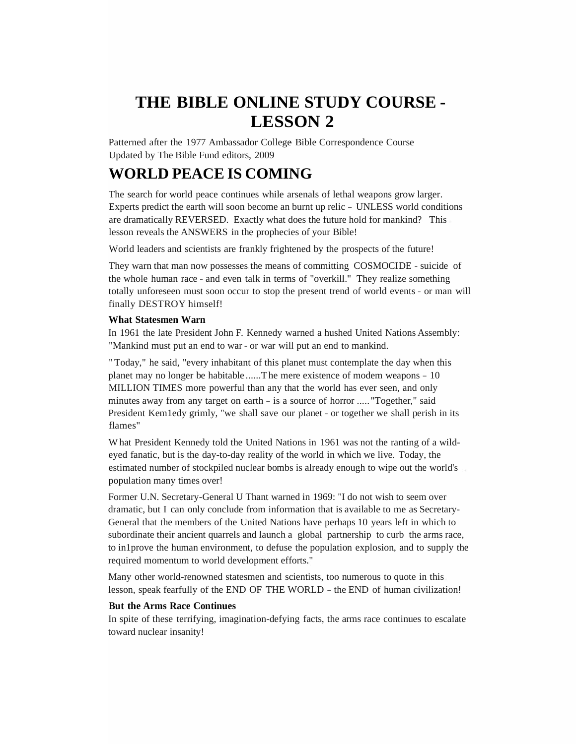# **THE BIBLE ONLINE STUDY COURSE - LESSON 2**

Patterned after the 1977 Ambassador College Bible Correspondence Course Updated by The Bible Fund editors, 2009

## **WORLD PEACE IS COMING**

The search for world peace continues while arsenals of lethal weapons grow larger. Experts predict the earth will soon become an burnt up relic - UNLESS world conditions are dramatically REVERSED. Exactly what does the future hold for mankind? This lesson reveals the ANSWERS in the prophecies of your Bible!

World leaders and scientists are frankly frightened by the prospects of the future!

They warn that man now possesses the means of committing COSMOCIDE - suicide of the whole human race - and even talk in terms of "overkill." They realize something totally unforeseen must soon occur to stop the present trend of world events - or man will finally DESTROY himself!

## **What Statesmen Warn**

In 1961 the late President John F. Kennedy warned a hushed United Nations Assembly: "Mankind must put an end to war - or war will put an end to mankind.

"Today," he said, "every inhabitant of this planet must contemplate the day when this planet may no longer be habitable ......The mere existence of modem weapons - 10 MILLION TIMES more powerful than any that the world has ever seen, and only minutes away from any target on earth - is a source of horror ..... "Together," said President Kem1edy grimly, "we shall save our planet - or together we shall perish in its flames"

What President Kennedy told the United Nations in 1961 was not the ranting of a wildeyed fanatic, but is the day-to-day reality of the world in which we live. Today, the estimated number of stockpiled nuclear bombs is already enough to wipe out the world's population many times over!

Former U.N. Secretary-General U Thant warned in 1969: "I do not wish to seem over dramatic, but I can only conclude from information that is available to me as Secretary-General that the members of the United Nations have perhaps 10 years left in which to subordinate their ancient quarrels and launch a global partnership to curb the arms race, to in1prove the human environment, to defuse the population explosion, and to supply the required momentum to world development efforts."

Many other world-renowned statesmen and scientists, too numerous to quote in this lesson, speak fearfully of the END OF THE WORLD - the END of human civilization!

## **But the Arms Race Continues**

In spite of these terrifying, imagination-defying facts, the arms race continues to escalate toward nuclear insanity!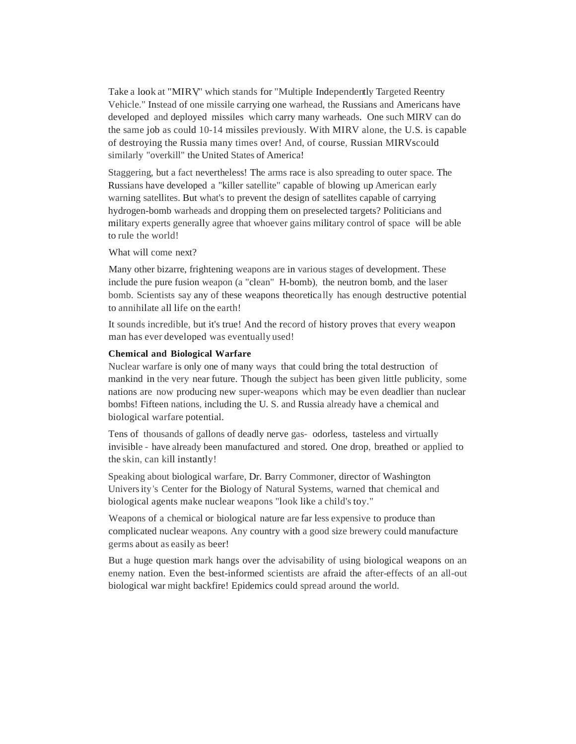Take a look at "MIRV" which stands for "Multiple Independently Targeted Reentry Vehicle." Instead of one missile carrying one warhead, the Russians and Americans have developed and deployed missiles which carry many warheads. One such MIRV can do the same job as could 10-14 missiles previously. With MIRV alone, the U.S. is capable of destroying the Russia many times over! And, of course, Russian MIRVscould similarly "overkill" the United States of America!

Staggering, but a fact nevertheless! The arms race is also spreading to outer space. The Russians have developed a "killer satellite" capable of blowing up American early warning satellites. But what's to prevent the design of satellites capable of carrying hydrogen-bomb warheads and dropping them on preselected targets? Politicians and military experts generally agree that whoever gains military control of space will be able to rule the world!

What will come next?

Many other bizarre, frightening weapons are in various stages of development. These include the pure fusion weapon (a "clean" H-bomb), the neutron bomb, and the laser bomb. Scientists say any of these weapons theoretically has enough destructive potential to annihilate all life on the earth!

It sounds incredible, but it's true! And the record of history proves that every weapon man has ever developed was eventually used!

#### **Chemical and Biological Warfare**

Nuclear warfare is only one of many ways that could bring the total destruction of mankind in the very near future. Though the subject has been given little publicity, some nations are now producing new super-weapons which may be even deadlier than nuclear bombs! Fifteen nations, including the U. S. and Russia already have a chemical and biological warfare potential.

Tens of thousands of gallons of deadly nerve gas- odorless, tasteless and virtually invisible - have already been manufactured and stored. One drop, breathed or applied to the skin, can kill instantly!

Speaking about biological warfare, Dr. Barry Commoner, director of Washington University's Center for the Biology of Natural Systems, warned that chemical and biological agents make nuclear weapons "look like a child's toy."

Weapons of a chemical or biological nature are far less expensive to produce than complicated nuclear weapons. Any country with a good size brewery could manufacture germs about as easily as beer!

But a huge question mark hangs over the advisability of using biological weapons on an enemy nation. Even the best-informed scientists are afraid the after-effects of an all-out biological war might backfire! Epidemics could spread around the world.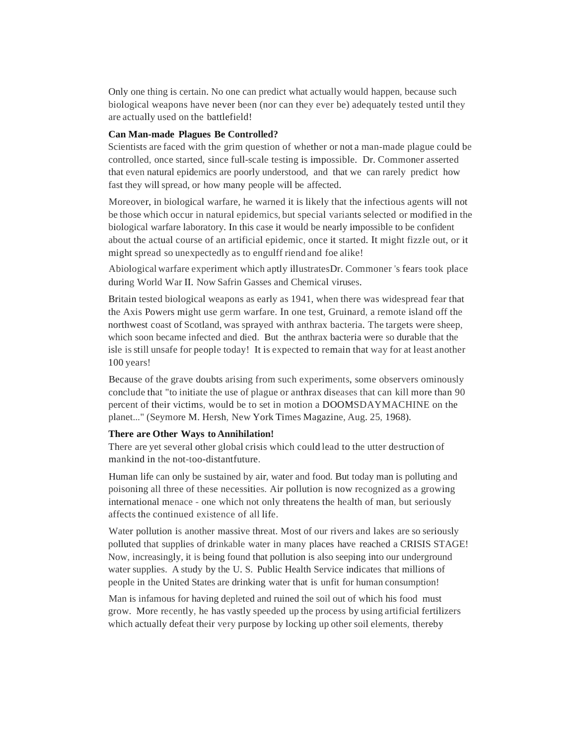Only one thing is certain. No one can predict what actually would happen, because such biological weapons have never been (nor can they ever be) adequately tested until they are actually used on the battlefield!

#### **Can Man-made Plagues Be Controlled?**

Scientists are faced with the grim question of whether or not a man-made plague could be controlled, once started, since full-scale testing is impossible. Dr. Commoner asserted that even natural epidemics are poorly understood, and that we can rarely predict how fast they will spread, or how many people will be affected.

Moreover, in biological warfare, he warned it is likely that the infectious agents will not be those which occur in natural epidemics, but special variants selected or modified in the biological warfare laboratory. In this case it would be nearly impossible to be confident about the actual course of an artificial epidemic, once it started. It might fizzle out, or it might spread so unexpectedly as to engulff riend and foe alike!

Abiological warfare experiment which aptly illustratesDr. Commoner 's fears took place during World War II. Now Safrin Gasses and Chemical viruses.

Britain tested biological weapons as early as 1941, when there was widespread fear that the Axis Powers might use germ warfare. In one test, Gruinard, a remote island off the northwest coast of Scotland, was sprayed with anthrax bacteria. The targets were sheep, which soon became infected and died. But the anthrax bacteria were so durable that the isle isstill unsafe for people today! It is expected to remain that way for at least another 100 years!

Because of the grave doubts arising from such experiments, some observers ominously conclude that "to initiate the use of plague or anthrax diseases that can kill more than 90 percent of their victims, would be to set in motion a DOOMSDAYMACHINE on the planet..." (Seymore M. Hersh, New York Times Magazine, Aug. 25, 1968).

## **There are Other Ways to Annihilation!**

There are yet several other global crisis which could lead to the utter destruction of mankind in the not-too-distantfuture.

Human life can only be sustained by air, water and food. But today man is polluting and poisoning all three of these necessities. Air pollution is now recognized as a growing international menace - one which not only threatens the health of man, but seriously affects the continued existence of all life.

Water pollution is another massive threat. Most of our rivers and lakes are so seriously polluted that supplies of drinkable water in many places have reached a CRISIS STAGE! Now, increasingly, it is being found that pollution is also seeping into our underground water supplies. A study by the U. S. Public Health Service indicates that millions of people in the United States are drinking water that is unfit for human consumption!

Man is infamous for having depleted and ruined the soil out of which his food must grow. More recently, he has vastly speeded up the process by using artificial fertilizers which actually defeat their very purpose by locking up other soil elements, thereby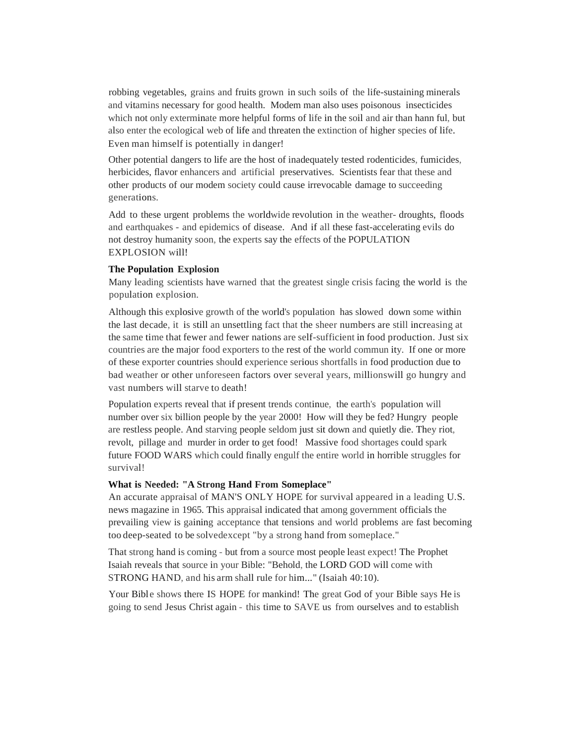robbing vegetables, grains and fruits grown in such soils of the life-sustaining minerals and vitamins necessary for good health. Modem man also uses poisonous insecticides which not only exterminate more helpful forms of life in the soil and air than hann ful, but also enter the ecological web of life and threaten the extinction of higher species of life. Even man himself is potentially in danger!

Other potential dangers to life are the host of inadequately tested rodenticides, fumicides, herbicides, flavor enhancers and artificial preservatives. Scientists fear that these and other products of our modem society could cause irrevocable damage to succeeding generations.

Add to these urgent problems the worldwide revolution in the weather- droughts, floods and earthquakes - and epidemics of disease. And if all these fast-accelerating evils do not destroy humanity soon, the experts say the effects of the POPULATION EXPLOSION will!

## **The Population Explosion**

Many leading scientists have warned that the greatest single crisis facing the world is the population explosion.

Although this explosive growth of the world's population has slowed down some within the last decade, it is still an unsettling fact that the sheer numbers are still increasing at the same time that fewer and fewer nations are self-sufficient in food production. Just six countries are the major food exporters to the rest of the world commun ity. If one or more of these exporter countries should experience serious shortfalls in food production due to bad weather or other unforeseen factors over several years, millionswill go hungry and vast numbers will starve to death!

Population experts reveal that if present trends continue, the earth's population will number over six billion people by the year 2000! How will they be fed? Hungry people are restless people. And starving people seldom just sit down and quietly die. They riot, revolt, pillage and murder in order to get food! Massive food shortages could spark future FOOD WARS which could finally engulf the entire world in horrible struggles for survival!

#### **What is Needed: "A Strong Hand From Someplace"**

An accurate appraisal of MAN'S ONLY HOPE for survival appeared in a leading U.S. news magazine in 1965. This appraisal indicated that among government officials the prevailing view is gaining acceptance that tensions and world problems are fast becoming too deep-seated to be solvedexcept "by a strong hand from someplace."

That strong hand is coming - but from a source most people least expect! The Prophet Isaiah reveals that source in your Bible: "Behold, the LORD GOD will come with STRONG HAND, and his arm shall rule for him..." (Isaiah 40:10).

Your Bible shows there IS HOPE for mankind! The great God of your Bible says He is going to send Jesus Christ again - this time to SAVE us from ourselves and to establish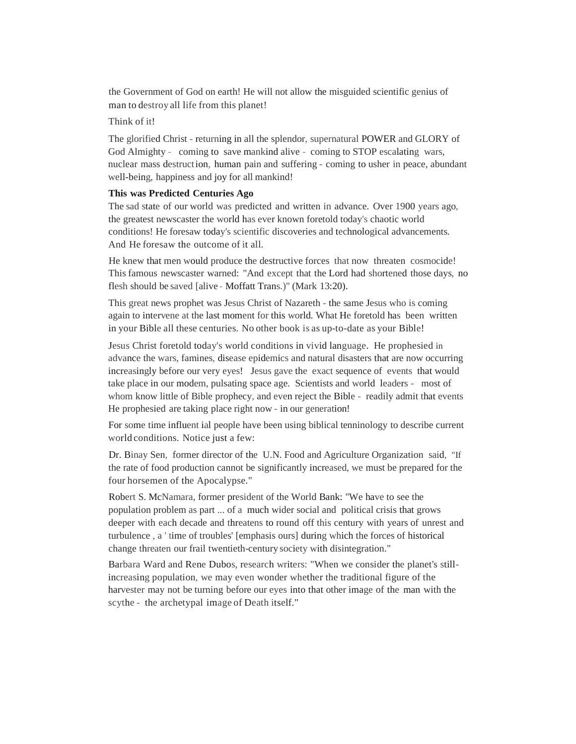the Government of God on earth! He will not allow the misguided scientific genius of man to destroy all life from this planet!

## Think of it!

The glorified Christ - returning in all the splendor, supernatural POWER and GLORY of God Almighty - coming to save mankind alive - coming to STOP escalating wars, nuclear mass destruction, human pain and suffering - coming to usher in peace, abundant well-being, happiness and joy for all mankind!

#### **This was Predicted Centuries Ago**

The sad state of our world was predicted and written in advance. Over 1900 years ago, the greatest newscaster the world has ever known foretold today's chaotic world conditions! He foresaw today's scientific discoveries and technological advancements. And He foresaw the outcome of it all.

He knew that men would produce the destructive forces that now threaten cosmocide! This famous newscaster warned: "And except that the Lord had shortened those days, no flesh should be saved [alive - Moffatt Trans.)" (Mark 13:20).

This great news prophet was Jesus Christ of Nazareth - the same Jesus who is coming again to intervene at the last moment for this world. What He foretold has been written in your Bible all these centuries. No other book is as up-to-date as your Bible!

Jesus Christ foretold today's world conditions in vivid language. He prophesied in advance the wars, famines, disease epidemics and natural disasters that are now occurring increasingly before our very eyes! Jesus gave the exact sequence of events that would take place in our modem, pulsating space age. Scientists and world leaders - most of whom know little of Bible prophecy, and even reject the Bible - readily admit that events He prophesied are taking place right now - in our generation!

For some time influent ial people have been using biblical tenninology to describe current world conditions. Notice just a few:

Dr. Binay Sen, former director of the U.N. Food and Agriculture Organization said, "If the rate of food production cannot be significantly increased, we must be prepared for the four horsemen of the Apocalypse."

Robert S. McNamara, former president of the World Bank: "We have to see the population problem as part ... of a much wider social and political crisis that grows deeper with each decade and threatens to round off this century with years of unrest and turbulence , a ' time of troubles' [emphasis ours] during which the forces of historical change threaten our frail twentieth-century society with disintegration."

Barbara Ward and Rene Dubos, research writers: "When we consider the planet's stillincreasing population, we may even wonder whether the traditional figure of the harvester may not be turning before our eyes into that other image of the man with the scythe - the archetypal image of Death itself."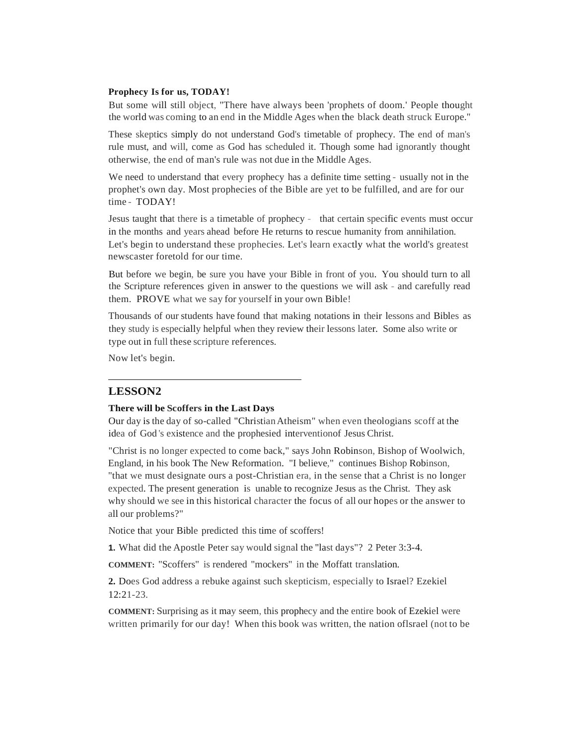## **Prophecy Is for us, TODAY!**

But some will still object, "There have always been 'prophets of doom.' People thought the world was coming to an end in the Middle Ages when the black death struck Europe.''

These skeptics simply do not understand God's timetable of prophecy. The end of man's rule must, and will, come as God has scheduled it. Though some had ignorantly thought otherwise, the end of man's rule was not due in the Middle Ages.

We need to understand that every prophecy has a definite time setting - usually not in the prophet's own day. Most prophecies of the Bible are yet to be fulfilled, and are for our time - TODAY!

Jesus taught that there is a timetable of prophecy - that certain specific events must occur in the months and years ahead before He returns to rescue humanity from annihilation. Let's begin to understand these prophecies. Let's learn exactly what the world's greatest newscaster foretold for our time.

But before we begin, be sure you have your Bible in front of you. You should turn to all the Scripture references given in answer to the questions we will ask - and carefully read them. PROVE what we say for yourself in your own Bible!

Thousands of our students have found that making notations in their lessons and Bibles as they study is especially helpful when they review their lessons later. Some also write or type out in full these scripture references.

Now let's begin.

## **LESSON2**

#### **There will be Scoffers in the Last Days**

Our day is the day of so-called "ChristianAtheism" when even theologians scoff at the idea of God 's existence and the prophesied interventionof Jesus Christ.

"Christ is no longer expected to come back," says John Robinson, Bishop of Woolwich, England, in his book The New Reformation. "I believe," continues Bishop Robinson, "that we must designate ours a post-Christian era, in the sense that a Christ is no longer expected. The present generation is unable to recognize Jesus as the Christ. They ask why should we see in this historical character the focus of all our hopes or the answer to all our problems?"

Notice that your Bible predicted this time of scoffers!

**1.** What did the Apostle Peter say would signal the "last days"? 2 Peter 3:3-4.

**COMMENT:** "Scoffers" is rendered "mockers" in the Moffatt translation.

**2.** Does God address a rebuke against such skepticism, especially to Israel? Ezekiel 12:21-23.

**COMMENT:** Surprising as it may seem, this prophecy and the entire book of Ezekiel were written primarily for our day! When this book was written, the nation oflsrael (not to be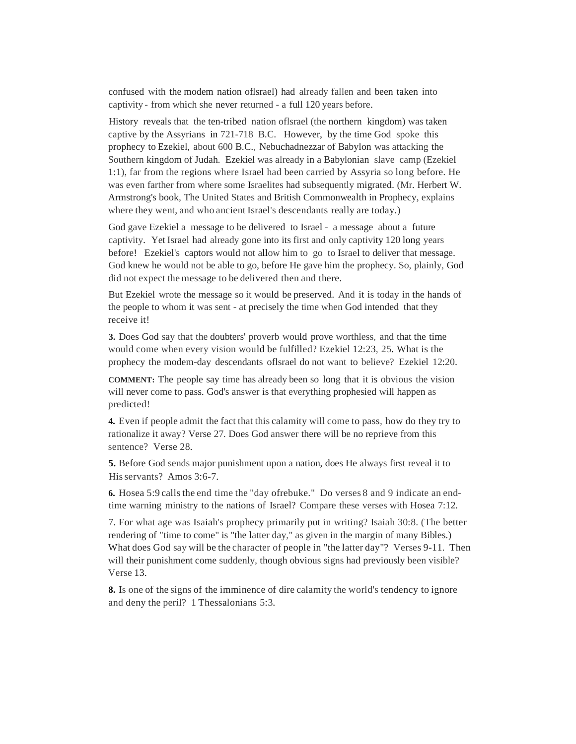confused with the modem nation oflsrael) had already fallen and been taken into captivity - from which she never returned - a full 120 years before.

History reveals that the ten-tribed nation oflsrael (the northern kingdom) was taken captive by the Assyrians in 721-718 B.C. However, by the time God spoke this prophecy to Ezekiel, about 600 B.C., Nebuchadnezzar of Babylon was attacking the Southern kingdom of Judah. Ezekiel was already in a Babylonian slave camp (Ezekiel 1:1), far from the regions where Israel had been carried by Assyria so long before. He was even farther from where some Israelites had subsequently migrated. (Mr. Herbert W. Armstrong's book, The United States and British Commonwealth in Prophecy, explains where they went, and who ancient Israel's descendants really are today.)

God gave Ezekiel a message to be delivered to Israel - a message about a future captivity. Yet Israel had already gone into its first and only captivity 120 long years before! Ezekiel's captors would not allow him to go to Israel to deliver that message. God knew he would not be able to go, before He gave him the prophecy. So, plainly, God did not expect the message to be delivered then and there.

But Ezekiel wrote the message so it would be preserved. And it is today in the hands of the people to whom it was sent - at precisely the time when God intended that they receive it!

**3.** Does God say that the doubters' proverb would prove worthless, and that the time would come when every vision would be fulfilled? Ezekiel 12:23, 25. What is the prophecy the modem-day descendants oflsrael do not want to believe? Ezekiel 12:20.

**COMMENT:** The people say time has already been so long that it is obvious the vision will never come to pass. God's answer is that everything prophesied will happen as predicted!

**4.** Even if people admit the fact that this calamity will come to pass, how do they try to rationalize it away? Verse 27. Does God answer there will be no reprieve from this sentence? Verse 28.

**5.** Before God sends major punishment upon a nation, does He always first reveal it to Hisservants? Amos 3:6-7.

**6.** Hosea 5:9 callsthe end time the "day ofrebuke." Do verses 8 and 9 indicate an endtime warning ministry to the nations of Israel? Compare these verses with Hosea 7:12.

7. For what age was Isaiah's prophecy primarily put in writing? Isaiah 30:8. (The better rendering of "time to come" is "the latter day," as given in the margin of many Bibles.) What does God say will be the character of people in "the latter day"? Verses 9-11. Then will their punishment come suddenly, though obvious signs had previously been visible? Verse 13.

**8.** Is one of the signs of the imminence of dire calamity the world's tendency to ignore and deny the peril? 1 Thessalonians 5:3.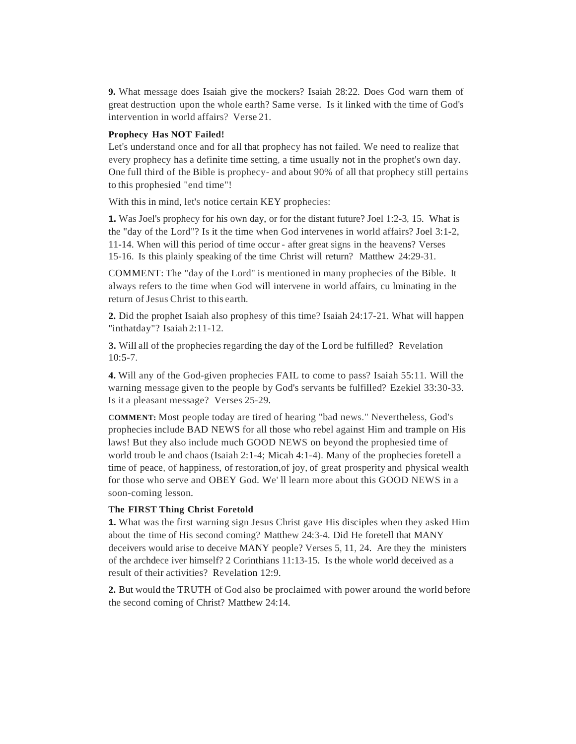**9.** What message does Isaiah give the mockers? Isaiah 28:22. Does God warn them of great destruction upon the whole earth? Same verse. Is it linked with the time of God's intervention in world affairs? Verse 21.

#### **Prophecy Has NOT Failed!**

Let's understand once and for all that prophecy has not failed. We need to realize that every prophecy has a definite time setting, a time usually not in the prophet's own day. One full third of the Bible is prophecy- and about 90% of all that prophecy still pertains to this prophesied "end time"!

With this in mind, let's notice certain KEY prophecies:

**1.** Was Joel's prophecy for his own day, or for the distant future? Joel 1:2-3, 15. What is the "day of the Lord"? Is it the time when God intervenes in world affairs? Joel 3:1-2, 11-14. When will this period of time occur - after great signs in the heavens? Verses 15-16. Is this plainly speaking of the time Christ will return? Matthew 24:29-31.

COMMENT: The "day of the Lord" is mentioned in many prophecies of the Bible. It always refers to the time when God will intervene in world affairs, cu lminating in the return of Jesus Christ to this earth.

**2.** Did the prophet Isaiah also prophesy of this time? Isaiah 24:17-21. What will happen "inthatday"? Isaiah 2:11-12.

**3.** Will all of the prophecies regarding the day of the Lord be fulfilled? Revelation  $10:5-7.$ 

**4.** Will any of the God-given prophecies FAIL to come to pass? Isaiah 55:11. Will the warning message given to the people by God's servants be fulfilled? Ezekiel 33:30-33. Is it a pleasant message? Verses 25-29.

**COMMENT:** Most people today are tired of hearing "bad news." Nevertheless, God's prophecies include BAD NEWS for all those who rebel against Him and trample on His laws! But they also include much GOOD NEWS on beyond the prophesied time of world troub le and chaos (Isaiah 2:1-4; Micah 4:1-4). Many of the prophecies foretell a time of peace, of happiness, of restoration,of joy, of great prosperity and physical wealth for those who serve and OBEY God. We' ll learn more about this GOOD NEWS in a soon-coming lesson.

## **The FIRST Thing Christ Foretold**

**1.** What was the first warning sign Jesus Christ gave His disciples when they asked Him about the time of His second coming? Matthew 24:3-4. Did He foretell that MANY deceivers would arise to deceive MANY people? Verses 5, 11, 24. Are they the ministers of the archdece iver himself? 2 Corinthians 11:13-15. Is the whole world deceived as a result of their activities? Revelation 12:9.

**2.** But would the TRUTH of God also be proclaimed with power around the world before the second coming of Christ? Matthew 24:14.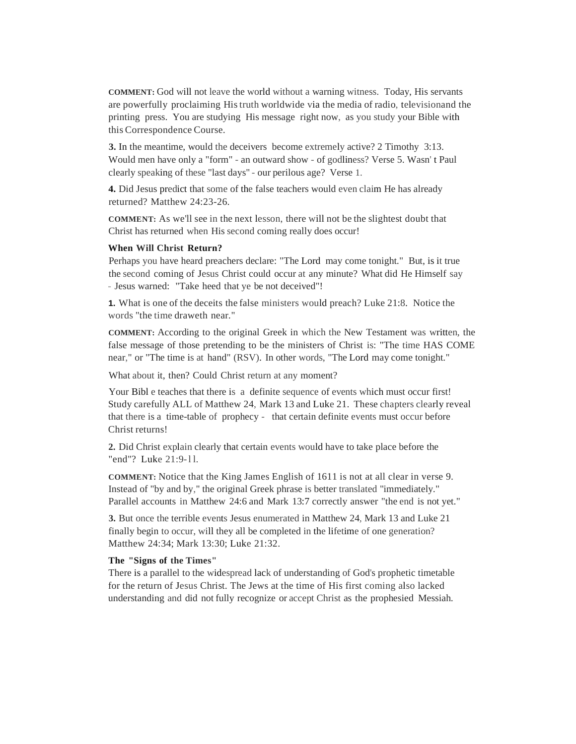**COMMENT:** God will not leave the world without a warning witness. Today, His servants are powerfully proclaiming Histruth worldwide via the media of radio, televisionand the printing press. You are studying His message right now, as you study your Bible with this Correspondence Course.

**3.** In the meantime, would the deceivers become extremely active? 2 Timothy 3:13. Would men have only a "form" - an outward show - of godliness? Verse 5. Wasn' t Paul clearly speaking of these "last days" - our perilous age? Verse 1.

**4.** Did Jesus predict that some of the false teachers would even claim He has already returned? Matthew 24:23-26.

**COMMENT:** As we'll see in the next lesson, there will not be the slightest doubt that Christ has returned when His second coming really does occur!

#### **When Will Christ Return?**

Perhaps you have heard preachers declare: "The Lord may come tonight." But, is it true the second coming of Jesus Christ could occur at any minute? What did He Himself say - Jesus warned: "Take heed that ye be not deceived"!

**1.** What is one of the deceits the false ministers would preach? Luke 21:8. Notice the words "the time draweth near."

**COMMENT:** According to the original Greek in which the New Testament was written, the false message of those pretending to be the ministers of Christ is: "The time HAS COME near," or "The time is at hand" (RSV). In other words, "The Lord may come tonight."

What about it, then? Could Christ return at any moment?

Your Bibl e teaches that there is a definite sequence of events which must occur first! Study carefully ALL of Matthew 24, Mark 13 and Luke 21. These chapters clearly reveal that there is a time-table of prophecy - that certain definite events must occur before Christ returns!

**2.** Did Christ explain clearly that certain events would have to take place before the "end"? Luke 21:9-11.

**COMMENT:** Notice that the King James English of 1611 is not at all clear in verse 9. Instead of "by and by," the original Greek phrase is better translated "immediately." Parallel accounts in Matthew 24:6 and Mark 13:7 correctly answer "the end is not yet."

**3.** But once the terrible events Jesus enumerated in Matthew 24, Mark 13 and Luke 21 finally begin to occur, will they all be completed in the lifetime of one generation? Matthew 24:34; Mark 13:30; Luke 21:32.

#### **The "Signs of the Times"**

There is a parallel to the widespread lack of understanding of God's prophetic timetable for the return of Jesus Christ. The Jews at the time of His first coming also lacked understanding and did not fully recognize or accept Christ as the prophesied Messiah.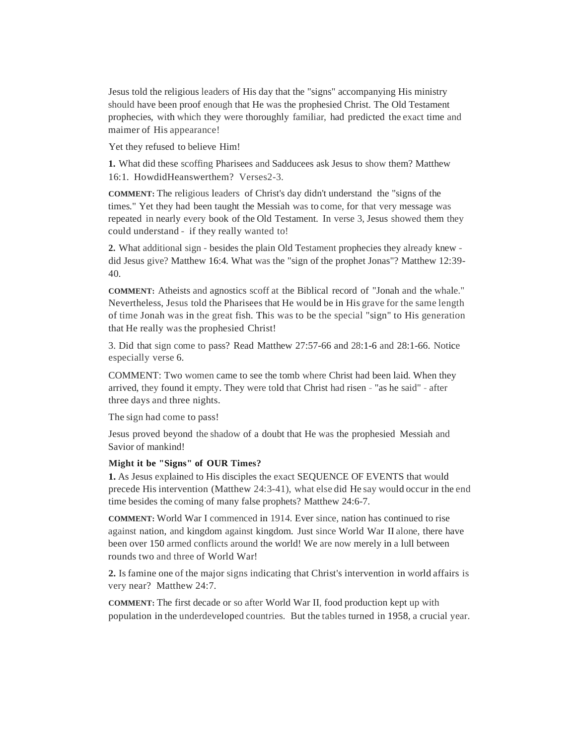Jesus told the religious leaders of His day that the "signs" accompanying His ministry should have been proof enough that He was the prophesied Christ. The Old Testament prophecies, with which they were thoroughly familiar, had predicted the exact time and maimer of His appearance!

Yet they refused to believe Him!

**1.** What did these scoffing Pharisees and Sadducees ask Jesus to show them? Matthew 16:1. HowdidHeanswerthem? Verses2-3.

**COMMENT:** The religious leaders of Christ's day didn't understand the "signs of the times." Yet they had been taught the Messiah was to come, for that very message was repeated in nearly every book of the Old Testament. In verse 3, Jesus showed them they could understand - if they really wanted to!

**2.** What additional sign - besides the plain Old Testament prophecies they already knew did Jesus give? Matthew 16:4. What was the "sign of the prophet Jonas"? Matthew 12:39- 40.

**COMMENT:** Atheists and agnostics scoff at the Biblical record of "Jonah and the whale." Nevertheless, Jesus told the Pharisees that He would be in His grave for the same length of time Jonah was in the great fish. This was to be the special "sign" to His generation that He really was the prophesied Christ!

3. Did that sign come to pass? Read Matthew 27:57-66 and 28:1-6 and 28:1-66. Notice especially verse 6.

COMMENT: Two women came to see the tomb where Christ had been laid. When they arrived, they found it empty. They were told that Christ had risen - "as he said" - after three days and three nights.

The sign had come to pass!

Jesus proved beyond the shadow of a doubt that He was the prophesied Messiah and Savior of mankind!

#### **Might it be "Signs" of OUR Times?**

**1.** As Jesus explained to His disciples the exact SEQUENCE OF EVENTS that would precede His intervention (Matthew 24:3-41), what else did He say would occur in the end time besides the coming of many false prophets? Matthew 24:6-7.

**COMMENT:** World War I commenced in 1914. Ever since, nation has continued to rise against nation, and kingdom against kingdom. Just since World War II alone, there have been over 150 armed conflicts around the world! We are now merely in a lull between rounds two and three of World War!

**2.** Is famine one of the major signs indicating that Christ's intervention in world affairs is very near? Matthew 24:7.

**COMMENT:** The first decade or so after World War II, food production kept up with population in the underdeveloped countries. But the tables turned in 1958, a crucial year.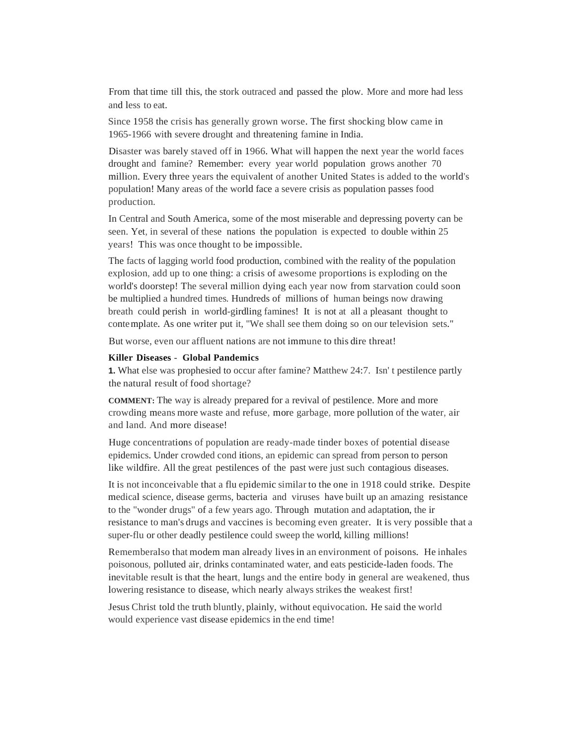From that time till this, the stork outraced and passed the plow. More and more had less and less to eat.

Since 1958 the crisis has generally grown worse. The first shocking blow came in 1965-1966 with severe drought and threatening famine in India.

Disaster was barely staved off in 1966. What will happen the next year the world faces drought and famine? Remember: every year world population grows another 70 million. Every three years the equivalent of another United States is added to the world's population! Many areas of the world face a severe crisis as population passes food production.

In Central and South America, some of the most miserable and depressing poverty can be seen. Yet, in several of these nations the population is expected to double within 25 years! This was once thought to be impossible.

The facts of lagging world food production, combined with the reality of the population explosion, add up to one thing: a crisis of awesome proportions is exploding on the world's doorstep! The several million dying each year now from starvation could soon be multiplied a hundred times. Hundreds of millions of human beings now drawing breath could perish in world-girdling famines! It is not at all a pleasant thought to contemplate. As one writer put it, "We shall see them doing so on our television sets."

But worse, even our affluent nations are not immune to this dire threat!

#### **Killer Diseases** - **Global Pandemics**

**1.** What else was prophesied to occur after famine? Matthew 24:7. Isn' t pestilence partly the natural result of food shortage?

**COMMENT:** The way is already prepared for a revival of pestilence. More and more crowding means more waste and refuse, more garbage, more pollution of the water, air and land. And more disease!

Huge concentrations of population are ready-made tinder boxes of potential disease epidemics. Under crowded cond itions, an epidemic can spread from person to person like wildfire. All the great pestilences of the past were just such contagious diseases.

It is not inconceivable that a flu epidemic similar to the one in 1918 could strike. Despite medical science, disease germs, bacteria and viruses have built up an amazing resistance to the "wonder drugs" of a few years ago. Through mutation and adaptation, the ir resistance to man's drugs and vaccines is becoming even greater. It is very possible that a super-flu or other deadly pestilence could sweep the world, killing millions!

Rememberalso that modem man already livesin an environment of poisons. He inhales poisonous, polluted air, drinks contaminated water, and eats pesticide-laden foods. The inevitable result is that the heart, lungs and the entire body in general are weakened, thus lowering resistance to disease, which nearly always strikes the weakest first!

Jesus Christ told the truth bluntly, plainly, without equivocation. He said the world would experience vast disease epidemics in the end time!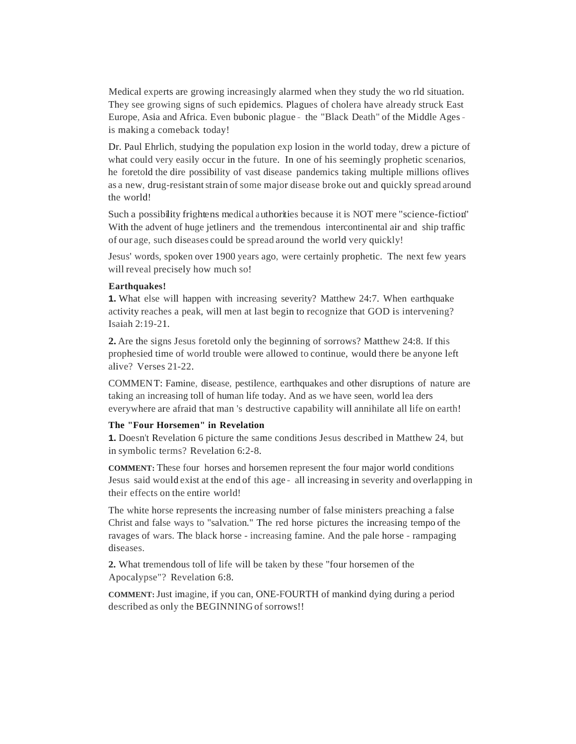Medical experts are growing increasingly alarmed when they study the wo rld situation. They see growing signs of such epidemics. Plagues of cholera have already struck East Europe, Asia and Africa. Even bubonic plague - the "Black Death" of the Middle Agesis making a comeback today!

Dr. Paul Ehrlich, studying the population exp losion in the world today, drew a picture of what could very easily occur in the future. In one of his seemingly prophetic scenarios, he foretold the dire possibility of vast disease pandemics taking multiple millions oflives as a new, drug-resistant strain of some major disease broke out and quickly spread around the world!

Such a possibility frightens medical authorities because it is NOT mere "science-fiction" With the advent of huge jetliners and the tremendous intercontinental air and ship traffic of our age, such diseases could be spread around the world very quickly!

Jesus' words, spoken over 1900 years ago, were certainly prophetic. The next few years will reveal precisely how much so!

## **Earthquakes!**

**1.** What else will happen with increasing severity? Matthew 24:7. When earthquake activity reaches a peak, will men at last begin to recognize that GOD is intervening? Isaiah 2:19-21.

**2.** Are the signs Jesus foretold only the beginning of sorrows? Matthew 24:8. If this prophesied time of world trouble were allowed to continue, would there be anyone left alive? Verses 21-22.

COMMENT: Famine, disease, pestilence, earthquakes and other disruptions of nature are taking an increasing toll of human life today. And as we have seen, world lea ders everywhere are afraid that man 's destructive capability will annihilate all life on earth!

#### **The "Four Horsemen" in Revelation**

**1.** Doesn't Revelation 6 picture the same conditions Jesus described in Matthew 24, but in symbolic terms? Revelation 6:2-8.

**COMMENT:** These four horses and horsemen represent the four major world conditions Jesus said would exist at the end of this age - all increasing in severity and overlapping in their effects on the entire world!

The white horse represents the increasing number of false ministers preaching a false Christ and false ways to "salvation." The red horse pictures the increasing tempo of the ravages of wars. The black horse - increasing famine. And the pale horse - rampaging diseases.

**2.** What tremendous toll of life will be taken by these "four horsemen of the Apocalypse"? Revelation 6:8.

**COMMENT:**Just imagine, if you can, ONE-FOURTH of mankind dying during a period described as only the BEGINNING of sorrows!!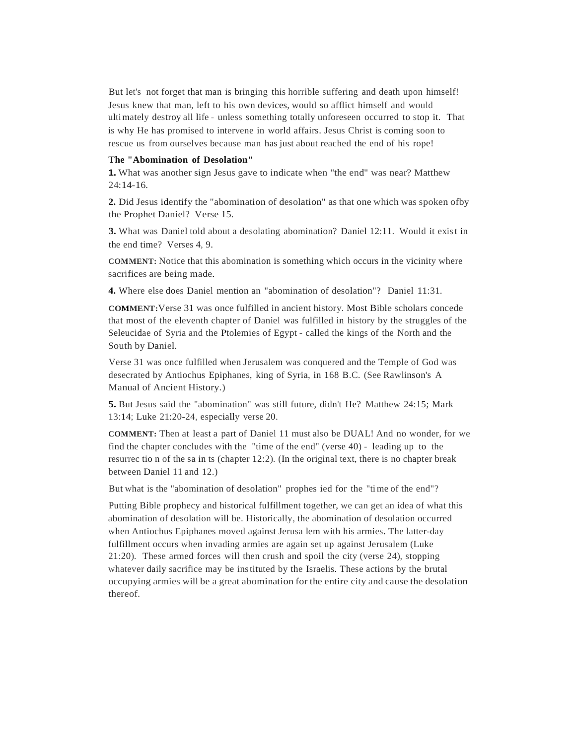But let's not forget that man is bringing this horrible suffering and death upon himself! Jesus knew that man, left to his own devices, would so afflict himself and would ultimately destroy all life - unless something totally unforeseen occurred to stop it. That is why He has promised to intervene in world affairs. Jesus Christ is coming soon to rescue us from ourselves because man has just about reached the end of his rope!

#### **The "Abomination of Desolation"**

**1.** What was another sign Jesus gave to indicate when "the end" was near? Matthew 24:14-16.

**2.** Did Jesus identify the "abomination of desolation" as that one which was spoken ofby the Prophet Daniel? Verse 15.

**3.** What was Daniel told about a desolating abomination? Daniel 12:11. Would it exist in the end time? Verses 4, 9.

**COMMENT:** Notice that this abomination is something which occurs in the vicinity where sacrifices are being made.

**4.** Where else does Daniel mention an "abomination of desolation"? Daniel 11:31.

**COMMENT:**Verse 31 was once fulfilled in ancient history. Most Bible scholars concede that most of the eleventh chapter of Daniel was fulfilled in history by the struggles of the Seleucidae of Syria and the Ptolemies of Egypt - called the kings of the North and the South by Daniel.

Verse 31 was once fulfilled when Jerusalem was conquered and the Temple of God was desecrated by Antiochus Epiphanes, king of Syria, in 168 B.C. (See Rawlinson's A Manual of Ancient History.)

**5.** But Jesus said the "abomination" was still future, didn't He? Matthew 24:15; Mark 13:14; Luke 21:20-24, especially verse 20.

**COMMENT:** Then at least a part of Daniel 11 must also be DUAL! And no wonder, for we find the chapter concludes with the "time of the end" (verse 40) - leading up to the resurrec tio n of the sa in ts (chapter 12:2). (In the original text, there is no chapter break between Daniel 11 and 12.)

But what is the "abomination of desolation" prophes ied for the "time of the end"?

Putting Bible prophecy and historical fulfillment together, we can get an idea of what this abomination of desolation will be. Historically, the abomination of desolation occurred when Antiochus Epiphanes moved against Jerusa lem with his armies. The latter-day fulfillment occurs when invading armies are again set up against Jerusalem (Luke 21:20). These armed forces will then crush and spoil the city (verse 24), stopping whatever daily sacrifice may be instituted by the Israelis. These actions by the brutal occupying armies will be a great abomination for the entire city and cause the desolation thereof.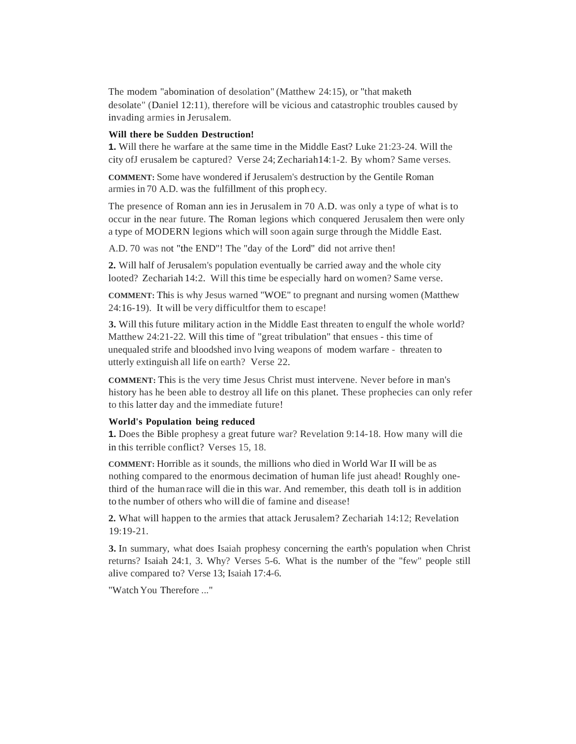The modem "abomination of desolation" (Matthew 24:15), or "that maketh desolate" (Daniel 12:11), therefore will be vicious and catastrophic troubles caused by invading armies in Jerusalem.

#### **Will there be Sudden Destruction!**

**1.** Will there he warfare at the same time in the Middle East? Luke 21:23-24. Will the city ofJ erusalem be captured? Verse 24; Zechariah14:1-2. By whom? Same verses.

**COMMENT:** Some have wondered if Jerusalem's destruction by the Gentile Roman armies in 70 A.D. was the fulfillment of this proph ecy.

The presence of Roman ann ies in Jerusalem in 70 A.D. was only a type of what is to occur in the near future. The Roman legions which conquered Jerusalem then were only a type of MODERN legions which will soon again surge through the Middle East.

A.D. 70 was not "the END"! The "day of the Lord" did not arrive then!

**2.** Will half of Jerusalem's population eventually be carried away and the whole city looted? Zechariah 14:2. Will this time be especially hard on women? Same verse.

**COMMENT:** This is why Jesus warned "WOE" to pregnant and nursing women (Matthew 24:16-19). It will be very difficultfor them to escape!

**3.** Will this future military action in the Middle East threaten to engulf the whole world? Matthew 24:21-22. Will this time of "great tribulation" that ensues - this time of unequaled strife and bloodshed invo lving weapons of modem warfare - threaten to utterly extinguish all life on earth? Verse 22.

**COMMENT:** This is the very time Jesus Christ must intervene. Never before in man's history has he been able to destroy all life on this planet. These prophecies can only refer to this latter day and the immediate future!

#### **World's Population being reduced**

**1.** Does the Bible prophesy a great future war? Revelation 9:14-18. How many will die in this terrible conflict? Verses 15, 18.

**COMMENT:** Horrible as it sounds, the millions who died in World War II will be as nothing compared to the enormous decimation of human life just ahead! Roughly onethird of the human race will die in this war. And remember, this death toll is in addition to the number of others who will die of famine and disease!

**2.** What will happen to the armies that attack Jerusalem? Zechariah 14:12; Revelation 19:19-21.

**3.** In summary, what does Isaiah prophesy concerning the earth's population when Christ returns? Isaiah 24:1, 3. Why? Verses 5-6. What is the number of the "few" people still alive compared to? Verse 13; Isaiah 17:4-6.

"Watch You Therefore ..."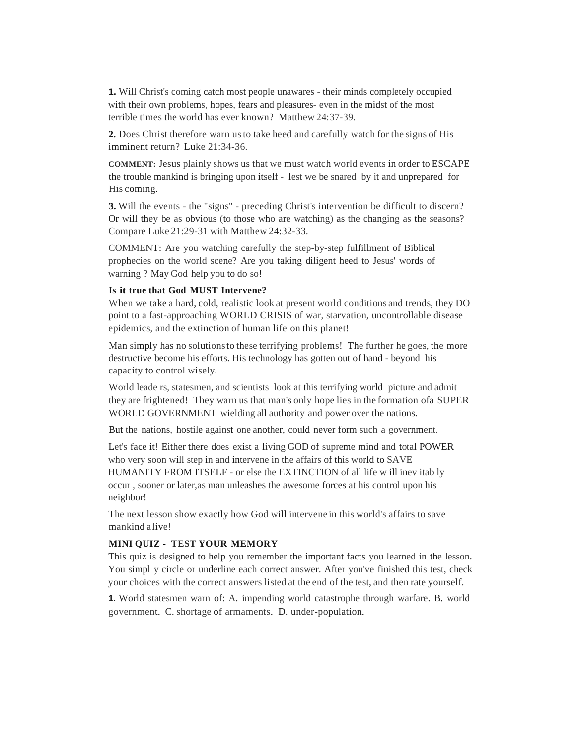**1.** Will Christ's coming catch most people unawares - their minds completely occupied with their own problems, hopes, fears and pleasures- even in the midst of the most terrible times the world has ever known? Matthew 24:37-39.

**2.** Does Christ therefore warn usto take heed and carefully watch for the signs of His imminent return? Luke 21:34-36.

**COMMENT:** Jesus plainly shows us that we must watch world events in order to ESCAPE the trouble mankind is bringing upon itself - lest we be snared by it and unprepared for His coming.

**3.** Will the events - the "signs" - preceding Christ's intervention be difficult to discern? Or will they be as obvious (to those who are watching) as the changing as the seasons? Compare Luke 21:29-31 with Matthew 24:32-33.

COMMENT: Are you watching carefully the step-by-step fulfillment of Biblical prophecies on the world scene? Are you taking diligent heed to Jesus' words of warning ? May God help you to do so!

#### **Is it true that God MUST Intervene?**

When we take a hard, cold, realistic look at present world conditions and trends, they DO point to a fast-approaching WORLD CRISIS of war, starvation, uncontrollable disease epidemics, and the extinction of human life on this planet!

Man simply has no solutionsto these terrifying problems! The further he goes, the more destructive become his efforts. His technology has gotten out of hand - beyond his capacity to control wisely.

World leade rs, statesmen, and scientists look at this terrifying world picture and admit they are frightened! They warn us that man's only hope lies in the formation ofa SUPER WORLD GOVERNMENT wielding all authority and power over the nations.

But the nations, hostile against one another, could never form such a government.

Let's face it! Either there does exist a living GOD of supreme mind and total POWER who very soon will step in and intervene in the affairs of this world to SAVE HUMANITY FROM ITSELF - or else the EXTINCTION of all life w ill inev itab ly occur , sooner or later,as man unleashes the awesome forces at his control upon his neighbor!

The next lesson show exactly how God will intervene in this world's affairs to save mankind alive!

## **MINI QUIZ - TEST YOUR MEMORY**

This quiz is designed to help you remember the important facts you learned in the lesson. You simpl y circle or underline each correct answer. After you've finished this test, check your choices with the correct answers listed at the end of the test, and then rate yourself.

**1.** World statesmen warn of: A. impending world catastrophe through warfare. B. world government. C. shortage of armaments. D. under-population.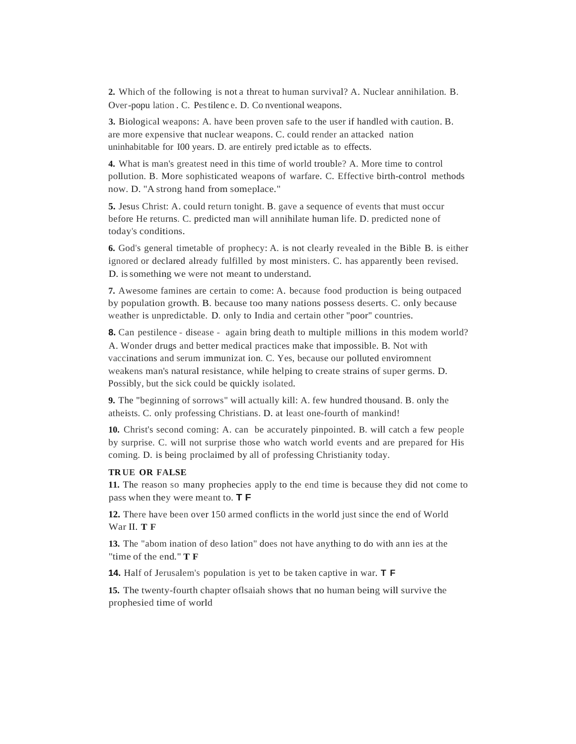**2.** Which of the following is not a threat to human survival? A. Nuclear annihilation. B. Over-popu lation . C. Pestilenc e. D. Co nventional weapons.

**3.** Biological weapons: A. have been proven safe to the user if handled with caution. B. are more expensive that nuclear weapons. C. could render an attacked nation uninhabitable for I00 years. D. are entirely pred ictable as to effects.

**4.** What is man's greatest need in this time of world trouble? A. More time to control pollution. B. More sophisticated weapons of warfare. C. Effective birth-control methods now. D. "A strong hand from someplace."

**5.** Jesus Christ: A. could return tonight. B. gave a sequence of events that must occur before He returns. C. predicted man will annihilate human life. D. predicted none of today's conditions.

**6.** God's general timetable of prophecy: A. is not clearly revealed in the Bible B. is either ignored or declared already fulfilled by most ministers. C. has apparently been revised. D. issomething we were not meant to understand.

**7.** Awesome famines are certain to come: A. because food production is being outpaced by population growth. B. because too many nations possess deserts. C. only because weather is unpredictable. D. only to India and certain other "poor" countries.

**8.** Can pestilence - disease - again bring death to multiple millions in this modem world? A. Wonder drugs and better medical practices make that impossible. B. Not with vaccinations and serum immunizat ion. C. Yes, because our polluted enviromnent weakens man's natural resistance, while helping to create strains of super germs. D. Possibly, but the sick could be quickly isolated.

**9.** The "beginning of sorrows" will actually kill: A. few hundred thousand. B. only the atheists. C. only professing Christians. D. at least one-fourth of mankind!

**10.** Christ's second coming: A. can be accurately pinpointed. B. will catch a few people by surprise. C. will not surprise those who watch world events and are prepared for His coming. D. is being proclaimed by all of professing Christianity today.

#### **TR UE OR FALSE**

**11.** The reason so many prophecies apply to the end time is because they did not come to pass when they were meant to. **T F**

**12.** There have been over 150 armed conflicts in the world just since the end of World War II. **T F**

**13.** The "abom ination of deso lation" does not have anything to do with ann ies at the "time of the end." **T F**

**14.** Half of Jerusalem's population is yet to be taken captive in war. **T F**

**15.** The twenty-fourth chapter oflsaiah shows that no human being will survive the prophesied time of world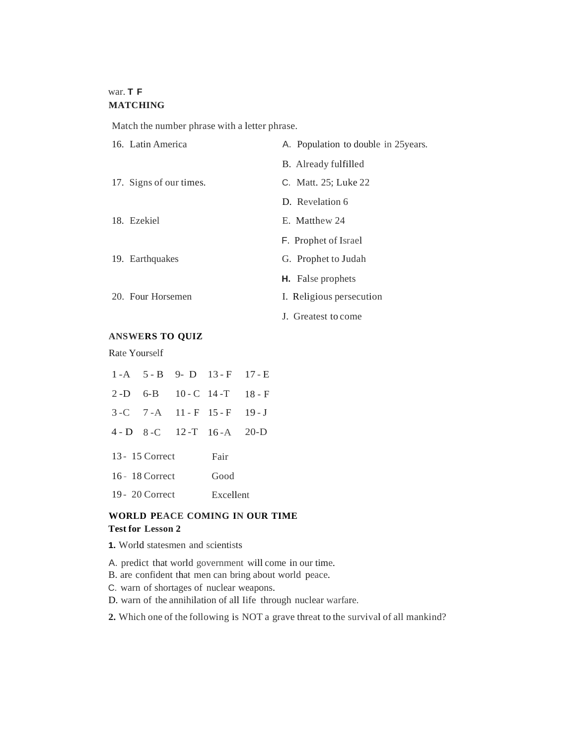## war. **T F MATCHING**

Match the number phrase with a letter phrase.

| 16. Latin America       | A. Population to double in 25 years. |  |  |
|-------------------------|--------------------------------------|--|--|
|                         | B. Already fulfilled                 |  |  |
| 17. Signs of our times. | C. Matt. 25; Luke 22                 |  |  |
|                         | D. Revelation 6                      |  |  |
| 18. Ezekiel             | E. Matthew 24                        |  |  |
|                         | <b>F.</b> Prophet of Israel          |  |  |
| 19. Earthquakes         | G. Prophet to Judah                  |  |  |
|                         | <b>H.</b> False prophets             |  |  |
| 20. Four Horsemen       | I. Religious persecution             |  |  |
|                         | J. Greatest to come                  |  |  |

## **ANSWERS TO QUIZ**

Rate Yourself

|                   |                 |           | $1-A$ 5 - B 9 - D 13 - F 17 - E |  |  |
|-------------------|-----------------|-----------|---------------------------------|--|--|
|                   |                 |           | 2-D 6-B 10-C 14-T 18-F          |  |  |
|                   |                 |           | 3-C 7-A 11-F 15-F 19-J          |  |  |
|                   |                 |           | $4-D$ 8-C 12-T 16-A 20-D        |  |  |
|                   | 13 - 15 Correct | Fair      |                                 |  |  |
| 16 - 18 Correct   |                 |           | Good                            |  |  |
| $19 - 20$ Correct |                 | Excellent |                                 |  |  |

## **WORLD PEACE COMING IN OUR TIME Test for Lesson 2**

- **1.** World statesmen and scientists
- A. predict that world government will come in our time.
- B. are confident that men can bring about world peace.
- C. warn of shortages of nuclear weapons.
- D. warn of the annihilation of all Iife through nuclear warfare.
- **2.** Which one of the following is NOT a grave threat to the survival of all mankind?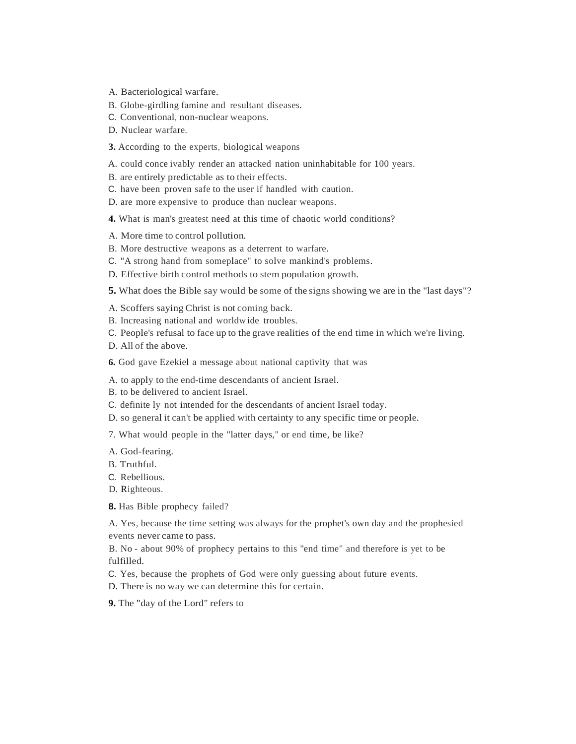- A. Bacteriological warfare.
- B. Globe-girdling famine and resultant diseases.
- C. Conventional, non-nuclear weapons.
- D. Nuclear warfare.
- **3.** According to the experts, biological weapons
- A. could conce ivably render an attacked nation uninhabitable for 100 years.
- B. are entirely predictable as to their effects.
- C. have been proven safe to the user if handled with caution.
- D. are more expensive to produce than nuclear weapons.
- **4.** What is man's greatest need at this time of chaotic world conditions?
- A. More time to control pollution.
- B. More destructive weapons as a deterrent to warfare.
- C. "A strong hand from someplace" to solve mankind's problems.
- D. Effective birth control methods to stem population growth.
- **5.** What does the Bible say would be some of the signs showing we are in the "last days"?
- A. Scoffers saying Christ is not coming back.
- B. Increasing national and worldwide troubles.
- C. People's refusal to face up to the grave realities of the end time in which we're living.
- D. All of the above.
- **6.** God gave Ezekiel a message about national captivity that was
- A. to apply to the end-time descendants of ancient Israel.
- B. to be delivered to ancient Israel.
- C. definite ly not intended for the descendants of ancient Israel today.
- D. so general it can't be applied with certainty to any specific time or people.
- 7. What would people in the "latter days," or end time, be like?
- A. God-fearing.
- B. Truthful.
- C. Rebellious.
- D. Righteous.
- **8.** Has Bible prophecy failed?

A. Yes, because the time setting was always for the prophet's own day and the prophesied events never came to pass.

B. No - about 90% of prophecy pertains to this "end time" and therefore is yet to be fulfilled.

- C. Yes, because the prophets of God were only guessing about future events.
- D. There is no way we can determine this for certain.
- **9.** The "day of the Lord" refers to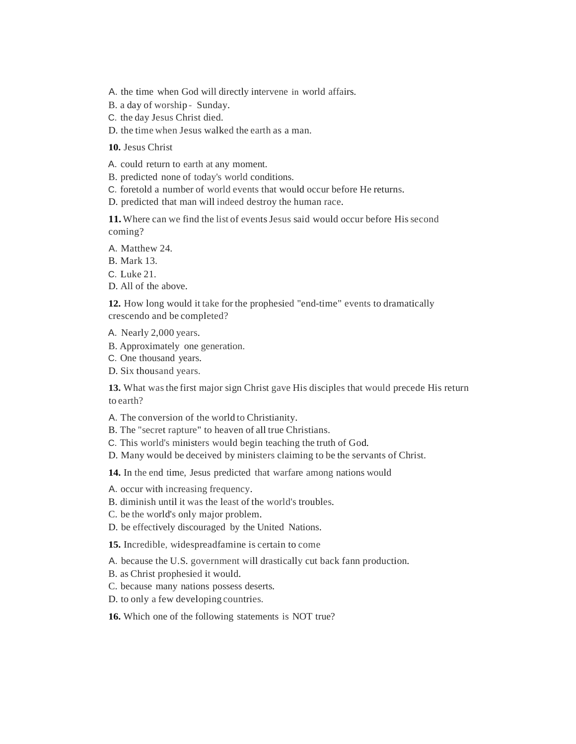A. the time when God will directly intervene in world affairs.

B. a day of worship - Sunday.

C. the day Jesus Christ died.

D. the time when Jesus walked the earth as a man.

**10.** Jesus Christ

A. could return to earth at any moment.

B. predicted none of today's world conditions.

C. foretold a number of world events that would occur before He returns.

D. predicted that man will indeed destroy the human race.

**11.** Where can we find the list of events Jesus said would occur before Hissecond coming?

A. Matthew 24.

B. Mark 13.

C. Luke 21.

D. All of the above.

**12.** How long would it take for the prophesied "end-time" events to dramatically crescendo and be completed?

A. Nearly 2,000 years.

B. Approximately one generation.

C. One thousand years.

D. Six thousand years.

**13.** What wasthe first major sign Christ gave His disciples that would precede His return to earth?

A. The conversion of the world to Christianity.

B. The "secret rapture" to heaven of all true Christians.

C. This world's ministers would begin teaching the truth of God.

D. Many would be deceived by ministers claiming to be the servants of Christ.

**14.** In the end time, Jesus predicted that warfare among nations would

A. occur with increasing frequency.

B. diminish until it was the least of the world's troubles.

C. be the world's only major problem.

D. be effectively discouraged by the United Nations.

**15.** Incredible, widespreadfamine is certain to come

A. because the U.S. government will drastically cut back fann production.

B. as Christ prophesied it would.

C. because many nations possess deserts.

D. to only a few developing countries.

**16.** Which one of the following statements is NOT true?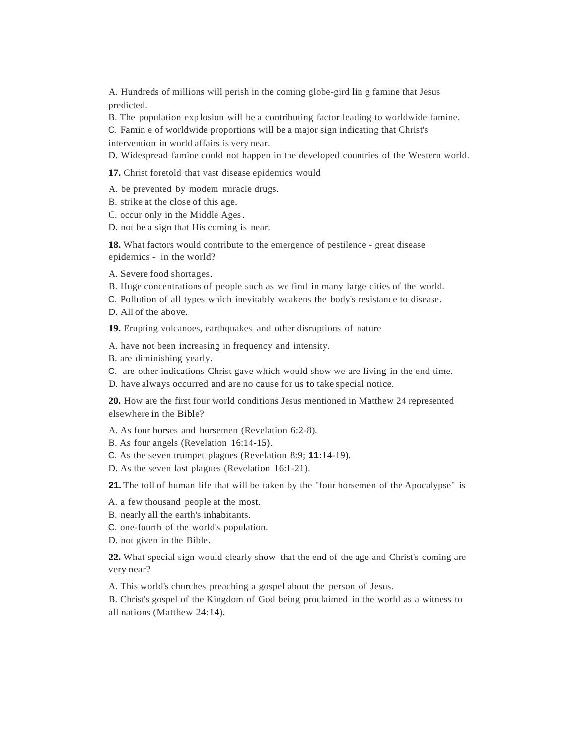A. Hundreds of millions will perish in the coming globe-gird lin g famine that Jesus predicted.

B. The population exp losion will be a contributing factor leading to worldwide famine.

C. Famin e of worldwide proportions will be a major sign indicating that Christ's intervention in world affairs is very near.

D. Widespread famine could not happen in the developed countries of the Western world.

**17.** Christ foretold that vast disease epidemics would

A. be prevented by modem miracle drugs.

- B. strike at the close of this age.
- C. occur only in the Middle Ages.

D. not be a sign that His coming is near.

**18.** What factors would contribute to the emergence of pestilence - great disease epidemics - in the world?

- A. Severe food shortages.
- B. Huge concentrations of people such as we find in many large cities of the world.
- C. Pollution of all types which inevitably weakens the body's resistance to disease.
- D. All of the above.

**19.** Erupting volcanoes, earthquakes and other disruptions of nature

A. have not been increasing in frequency and intensity.

B. are diminishing yearly.

C. are other indications Christ gave which would show we are living in the end time.

D. have always occurred and are no cause for us to take special notice.

**20.** How are the first four world conditions Jesus mentioned in Matthew 24 represented elsewhere in the Bible?

A. As four horses and horsemen (Revelation 6:2-8).

- B. As four angels (Revelation 16:14-15).
- C. As the seven trumpet plagues (Revelation 8:9; **11:**14-19).
- D. As the seven last plagues (Revelation 16:1-21).

**21.** The toll of human life that will be taken by the "four horsemen of the Apocalypse" is

A. a few thousand people at the most.

- B. nearly all the earth's inhabitants.
- C. one-fourth of the world's population.
- D. not given in the Bible.

**22.** What special sign would clearly show that the end of the age and Christ's coming are very near?

A. This world's churches preaching a gospel about the person of Jesus.

B. Christ's gospel of the Kingdom of God being proclaimed in the world as a witness to all nations (Matthew 24:14).